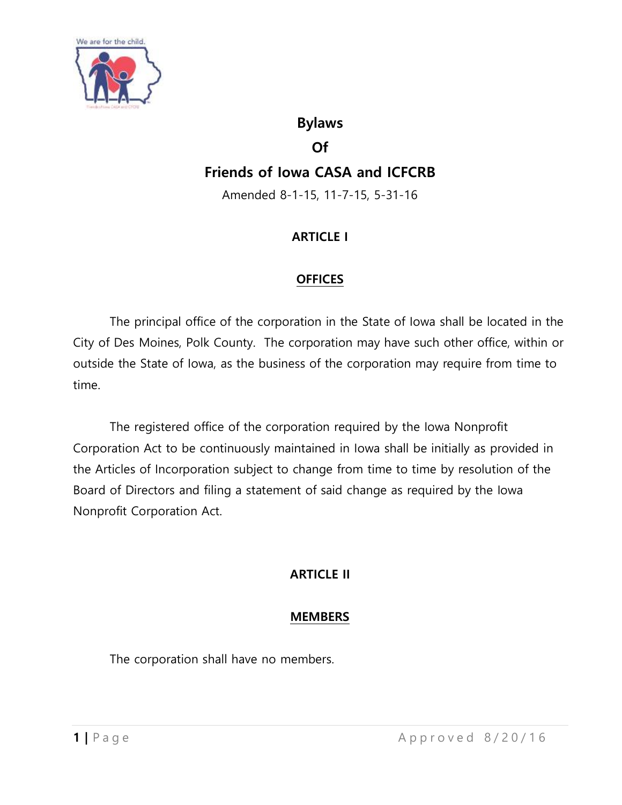

### **Bylaws**

#### **Of**

# **Friends of Iowa CASA and ICFCRB**

Amended 8-1-15, 11-7-15, 5-31-16

### **ARTICLE I**

### **OFFICES**

The principal office of the corporation in the State of Iowa shall be located in the City of Des Moines, Polk County. The corporation may have such other office, within or outside the State of Iowa, as the business of the corporation may require from time to time.

The registered office of the corporation required by the Iowa Nonprofit Corporation Act to be continuously maintained in Iowa shall be initially as provided in the Articles of Incorporation subject to change from time to time by resolution of the Board of Directors and filing a statement of said change as required by the Iowa Nonprofit Corporation Act.

## **ARTICLE II**

### **MEMBERS**

The corporation shall have no members.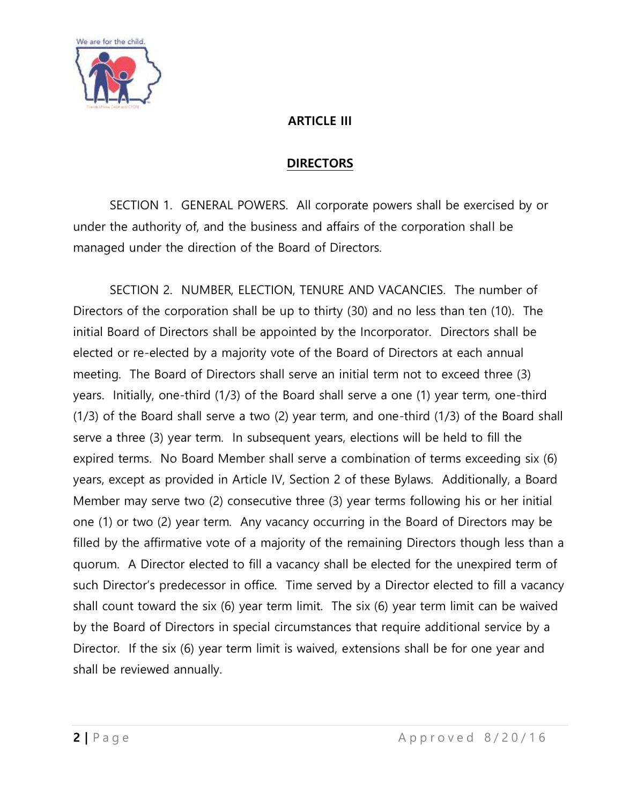

### **ARTICLE III**

#### **DIRECTORS**

SECTION 1. GENERAL POWERS. All corporate powers shall be exercised by or under the authority of, and the business and affairs of the corporation shall be managed under the direction of the Board of Directors.

SECTION 2. NUMBER, ELECTION, TENURE AND VACANCIES. The number of Directors of the corporation shall be up to thirty (30) and no less than ten (10). The initial Board of Directors shall be appointed by the Incorporator. Directors shall be elected or re-elected by a majority vote of the Board of Directors at each annual meeting. The Board of Directors shall serve an initial term not to exceed three (3) years. Initially, one-third (1/3) of the Board shall serve a one (1) year term, one-third (1/3) of the Board shall serve a two (2) year term, and one-third (1/3) of the Board shall serve a three (3) year term. In subsequent years, elections will be held to fill the expired terms. No Board Member shall serve a combination of terms exceeding six (6) years, except as provided in Article IV, Section 2 of these Bylaws. Additionally, a Board Member may serve two (2) consecutive three (3) year terms following his or her initial one (1) or two (2) year term. Any vacancy occurring in the Board of Directors may be filled by the affirmative vote of a majority of the remaining Directors though less than a quorum. A Director elected to fill a vacancy shall be elected for the unexpired term of such Director's predecessor in office. Time served by a Director elected to fill a vacancy shall count toward the six (6) year term limit. The six (6) year term limit can be waived by the Board of Directors in special circumstances that require additional service by a Director. If the six (6) year term limit is waived, extensions shall be for one year and shall be reviewed annually.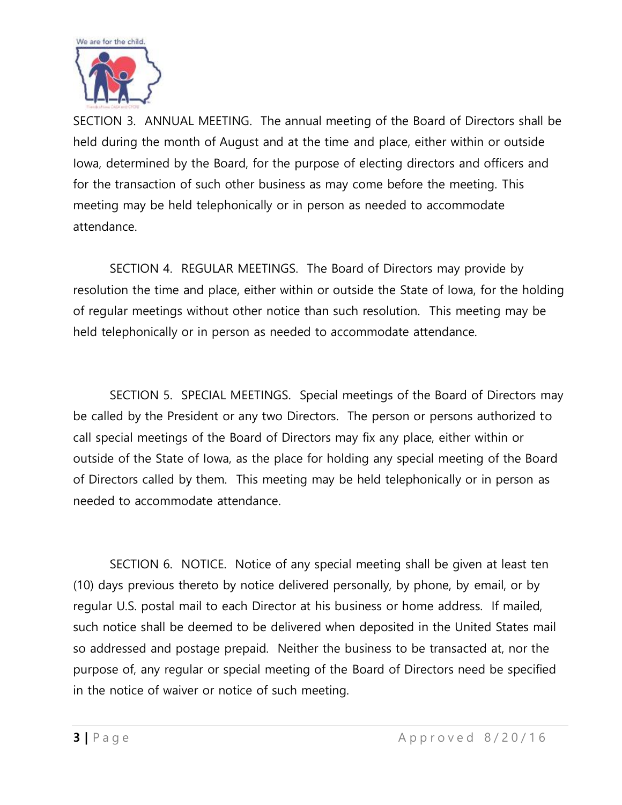

SECTION 3. ANNUAL MEETING. The annual meeting of the Board of Directors shall be held during the month of August and at the time and place, either within or outside Iowa, determined by the Board, for the purpose of electing directors and officers and for the transaction of such other business as may come before the meeting. This meeting may be held telephonically or in person as needed to accommodate attendance.

SECTION 4. REGULAR MEETINGS. The Board of Directors may provide by resolution the time and place, either within or outside the State of Iowa, for the holding of regular meetings without other notice than such resolution. This meeting may be held telephonically or in person as needed to accommodate attendance.

SECTION 5. SPECIAL MEETINGS. Special meetings of the Board of Directors may be called by the President or any two Directors. The person or persons authorized to call special meetings of the Board of Directors may fix any place, either within or outside of the State of Iowa, as the place for holding any special meeting of the Board of Directors called by them. This meeting may be held telephonically or in person as needed to accommodate attendance.

SECTION 6. NOTICE. Notice of any special meeting shall be given at least ten (10) days previous thereto by notice delivered personally, by phone, by email, or by regular U.S. postal mail to each Director at his business or home address. If mailed, such notice shall be deemed to be delivered when deposited in the United States mail so addressed and postage prepaid. Neither the business to be transacted at, nor the purpose of, any regular or special meeting of the Board of Directors need be specified in the notice of waiver or notice of such meeting.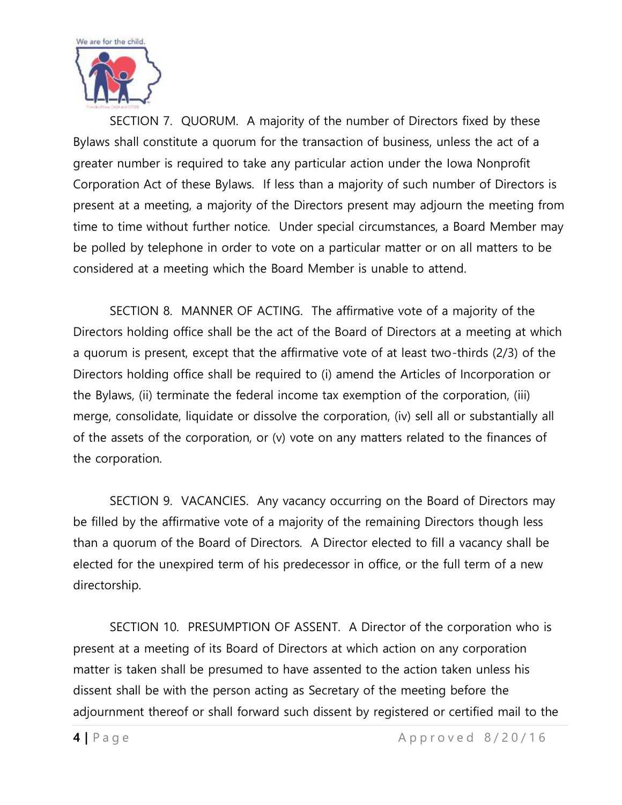

SECTION 7. QUORUM. A majority of the number of Directors fixed by these Bylaws shall constitute a quorum for the transaction of business, unless the act of a greater number is required to take any particular action under the Iowa Nonprofit Corporation Act of these Bylaws. If less than a majority of such number of Directors is present at a meeting, a majority of the Directors present may adjourn the meeting from time to time without further notice. Under special circumstances, a Board Member may be polled by telephone in order to vote on a particular matter or on all matters to be considered at a meeting which the Board Member is unable to attend.

SECTION 8. MANNER OF ACTING. The affirmative vote of a majority of the Directors holding office shall be the act of the Board of Directors at a meeting at which a quorum is present, except that the affirmative vote of at least two-thirds (2/3) of the Directors holding office shall be required to (i) amend the Articles of Incorporation or the Bylaws, (ii) terminate the federal income tax exemption of the corporation, (iii) merge, consolidate, liquidate or dissolve the corporation, (iv) sell all or substantially all of the assets of the corporation, or (v) vote on any matters related to the finances of the corporation.

SECTION 9. VACANCIES. Any vacancy occurring on the Board of Directors may be filled by the affirmative vote of a majority of the remaining Directors though less than a quorum of the Board of Directors. A Director elected to fill a vacancy shall be elected for the unexpired term of his predecessor in office, or the full term of a new directorship.

SECTION 10. PRESUMPTION OF ASSENT. A Director of the corporation who is present at a meeting of its Board of Directors at which action on any corporation matter is taken shall be presumed to have assented to the action taken unless his dissent shall be with the person acting as Secretary of the meeting before the adjournment thereof or shall forward such dissent by registered or certified mail to the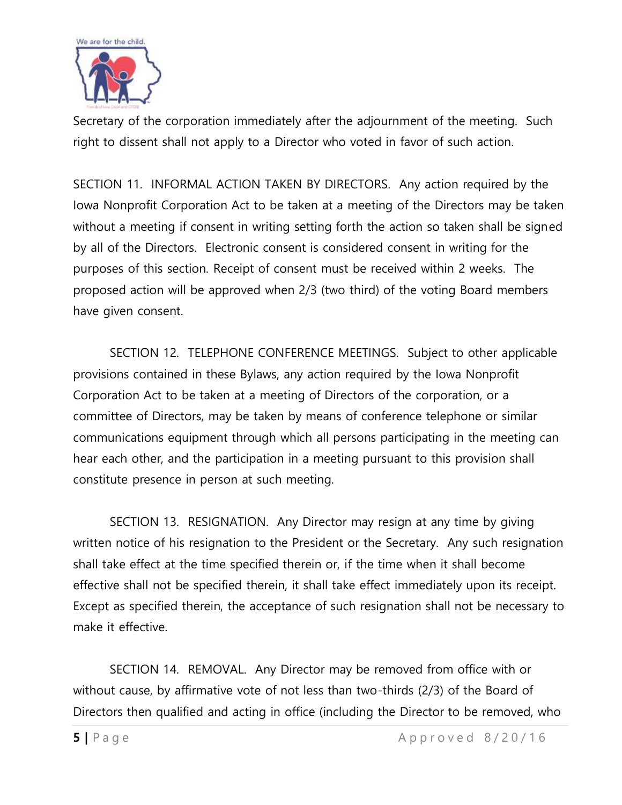

Secretary of the corporation immediately after the adjournment of the meeting. Such right to dissent shall not apply to a Director who voted in favor of such action.

SECTION 11. INFORMAL ACTION TAKEN BY DIRECTORS. Any action required by the Iowa Nonprofit Corporation Act to be taken at a meeting of the Directors may be taken without a meeting if consent in writing setting forth the action so taken shall be signed by all of the Directors. Electronic consent is considered consent in writing for the purposes of this section. Receipt of consent must be received within 2 weeks. The proposed action will be approved when 2/3 (two third) of the voting Board members have given consent.

SECTION 12. TELEPHONE CONFERENCE MEETINGS. Subject to other applicable provisions contained in these Bylaws, any action required by the Iowa Nonprofit Corporation Act to be taken at a meeting of Directors of the corporation, or a committee of Directors, may be taken by means of conference telephone or similar communications equipment through which all persons participating in the meeting can hear each other, and the participation in a meeting pursuant to this provision shall constitute presence in person at such meeting.

SECTION 13. RESIGNATION. Any Director may resign at any time by giving written notice of his resignation to the President or the Secretary. Any such resignation shall take effect at the time specified therein or, if the time when it shall become effective shall not be specified therein, it shall take effect immediately upon its receipt. Except as specified therein, the acceptance of such resignation shall not be necessary to make it effective.

SECTION 14. REMOVAL. Any Director may be removed from office with or without cause, by affirmative vote of not less than two-thirds (2/3) of the Board of Directors then qualified and acting in office (including the Director to be removed, who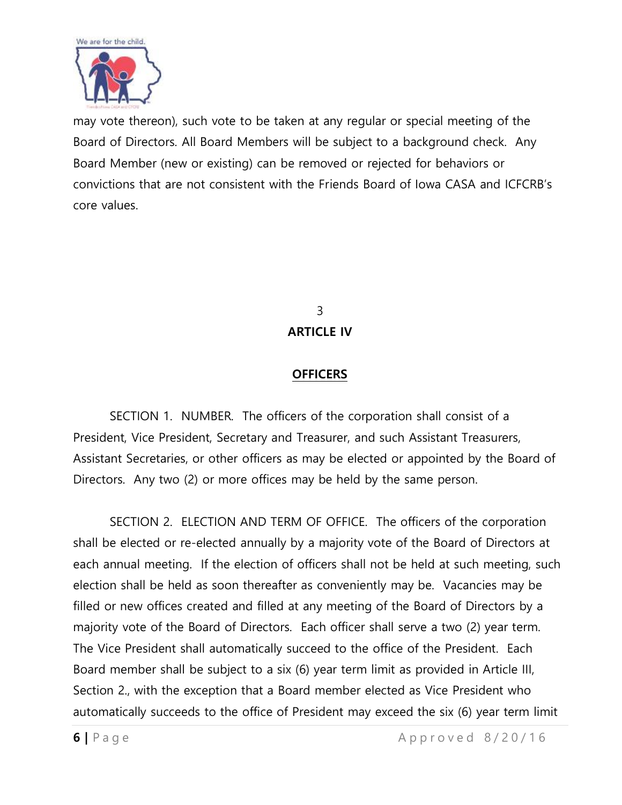

may vote thereon), such vote to be taken at any regular or special meeting of the Board of Directors. All Board Members will be subject to a background check. Any Board Member (new or existing) can be removed or rejected for behaviors or convictions that are not consistent with the Friends Board of Iowa CASA and ICFCRB's core values.

> 3 **ARTICLE IV**

#### **OFFICERS**

SECTION 1. NUMBER. The officers of the corporation shall consist of a President, Vice President, Secretary and Treasurer, and such Assistant Treasurers, Assistant Secretaries, or other officers as may be elected or appointed by the Board of Directors. Any two (2) or more offices may be held by the same person.

SECTION 2. ELECTION AND TERM OF OFFICE. The officers of the corporation shall be elected or re-elected annually by a majority vote of the Board of Directors at each annual meeting. If the election of officers shall not be held at such meeting, such election shall be held as soon thereafter as conveniently may be. Vacancies may be filled or new offices created and filled at any meeting of the Board of Directors by a majority vote of the Board of Directors. Each officer shall serve a two (2) year term. The Vice President shall automatically succeed to the office of the President. Each Board member shall be subject to a six (6) year term limit as provided in Article III, Section 2., with the exception that a Board member elected as Vice President who automatically succeeds to the office of President may exceed the six (6) year term limit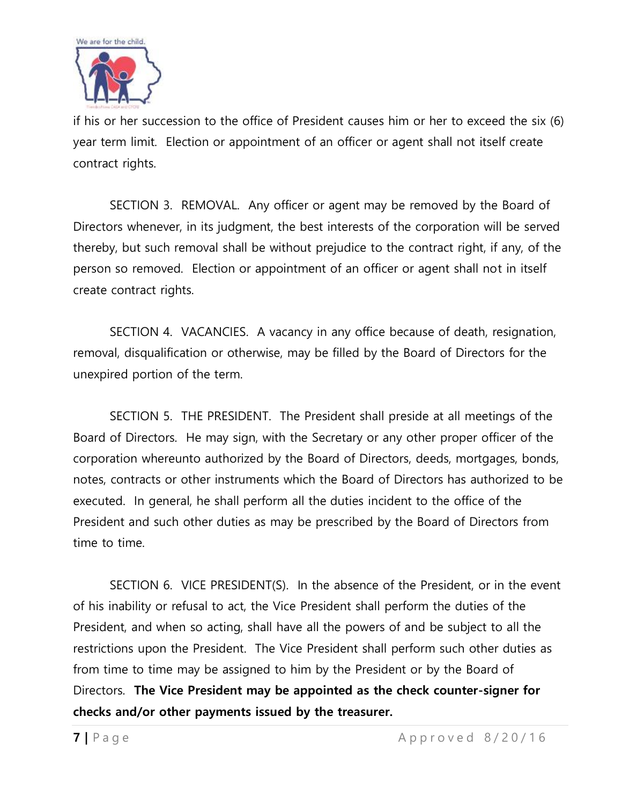

if his or her succession to the office of President causes him or her to exceed the six (6) year term limit. Election or appointment of an officer or agent shall not itself create contract rights.

SECTION 3. REMOVAL. Any officer or agent may be removed by the Board of Directors whenever, in its judgment, the best interests of the corporation will be served thereby, but such removal shall be without prejudice to the contract right, if any, of the person so removed. Election or appointment of an officer or agent shall not in itself create contract rights.

SECTION 4. VACANCIES. A vacancy in any office because of death, resignation, removal, disqualification or otherwise, may be filled by the Board of Directors for the unexpired portion of the term.

SECTION 5. THE PRESIDENT. The President shall preside at all meetings of the Board of Directors. He may sign, with the Secretary or any other proper officer of the corporation whereunto authorized by the Board of Directors, deeds, mortgages, bonds, notes, contracts or other instruments which the Board of Directors has authorized to be executed. In general, he shall perform all the duties incident to the office of the President and such other duties as may be prescribed by the Board of Directors from time to time.

SECTION 6. VICE PRESIDENT(S). In the absence of the President, or in the event of his inability or refusal to act, the Vice President shall perform the duties of the President, and when so acting, shall have all the powers of and be subject to all the restrictions upon the President. The Vice President shall perform such other duties as from time to time may be assigned to him by the President or by the Board of Directors. **The Vice President may be appointed as the check counter-signer for checks and/or other payments issued by the treasurer.**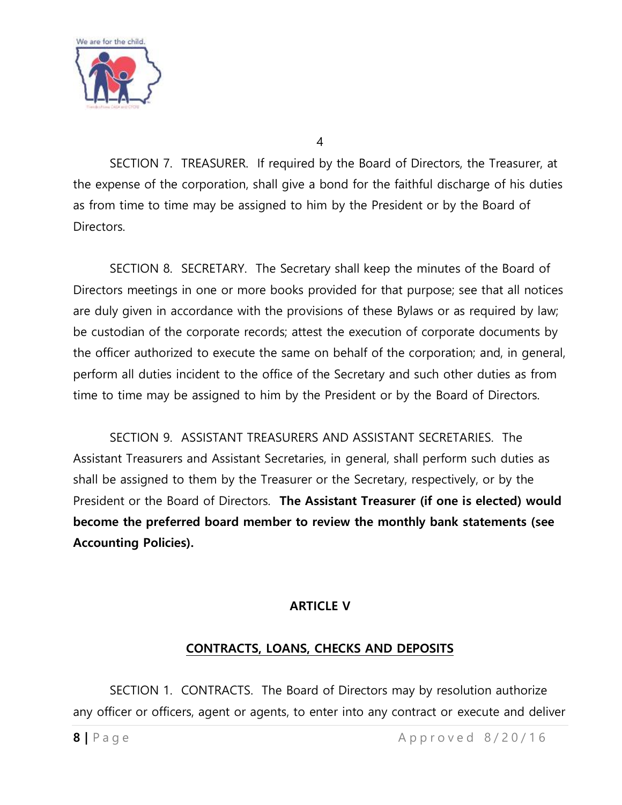

4

SECTION 7. TREASURER. If required by the Board of Directors, the Treasurer, at the expense of the corporation, shall give a bond for the faithful discharge of his duties as from time to time may be assigned to him by the President or by the Board of Directors.

SECTION 8. SECRETARY. The Secretary shall keep the minutes of the Board of Directors meetings in one or more books provided for that purpose; see that all notices are duly given in accordance with the provisions of these Bylaws or as required by law; be custodian of the corporate records; attest the execution of corporate documents by the officer authorized to execute the same on behalf of the corporation; and, in general, perform all duties incident to the office of the Secretary and such other duties as from time to time may be assigned to him by the President or by the Board of Directors.

SECTION 9. ASSISTANT TREASURERS AND ASSISTANT SECRETARIES. The Assistant Treasurers and Assistant Secretaries, in general, shall perform such duties as shall be assigned to them by the Treasurer or the Secretary, respectively, or by the President or the Board of Directors. **The Assistant Treasurer (if one is elected) would become the preferred board member to review the monthly bank statements (see Accounting Policies).**

### **ARTICLE V**

### **CONTRACTS, LOANS, CHECKS AND DEPOSITS**

SECTION 1. CONTRACTS. The Board of Directors may by resolution authorize any officer or officers, agent or agents, to enter into any contract or execute and deliver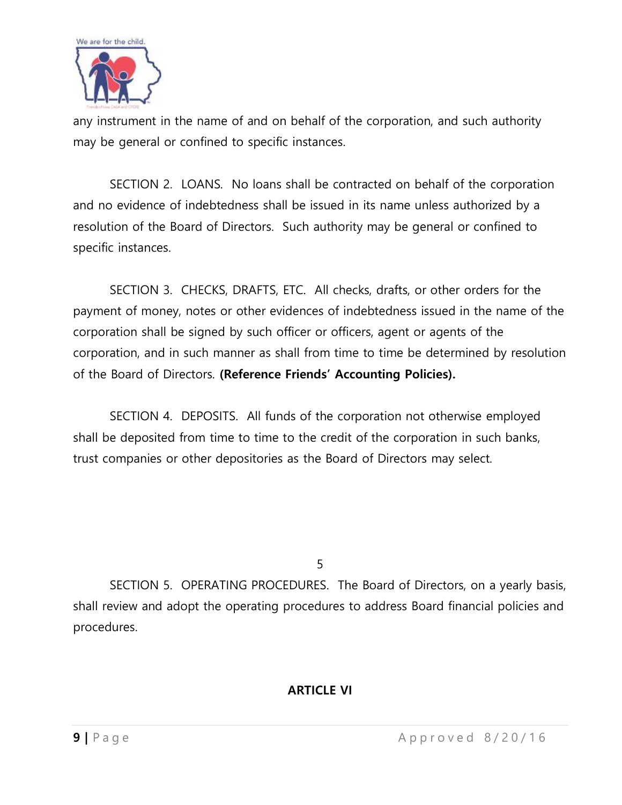

any instrument in the name of and on behalf of the corporation, and such authority may be general or confined to specific instances.

SECTION 2. LOANS. No loans shall be contracted on behalf of the corporation and no evidence of indebtedness shall be issued in its name unless authorized by a resolution of the Board of Directors. Such authority may be general or confined to specific instances.

SECTION 3. CHECKS, DRAFTS, ETC. All checks, drafts, or other orders for the payment of money, notes or other evidences of indebtedness issued in the name of the corporation shall be signed by such officer or officers, agent or agents of the corporation, and in such manner as shall from time to time be determined by resolution of the Board of Directors. **(Reference Friends' Accounting Policies).**

SECTION 4. DEPOSITS. All funds of the corporation not otherwise employed shall be deposited from time to time to the credit of the corporation in such banks, trust companies or other depositories as the Board of Directors may select.

5

SECTION 5. OPERATING PROCEDURES. The Board of Directors, on a yearly basis, shall review and adopt the operating procedures to address Board financial policies and procedures.

### **ARTICLE VI**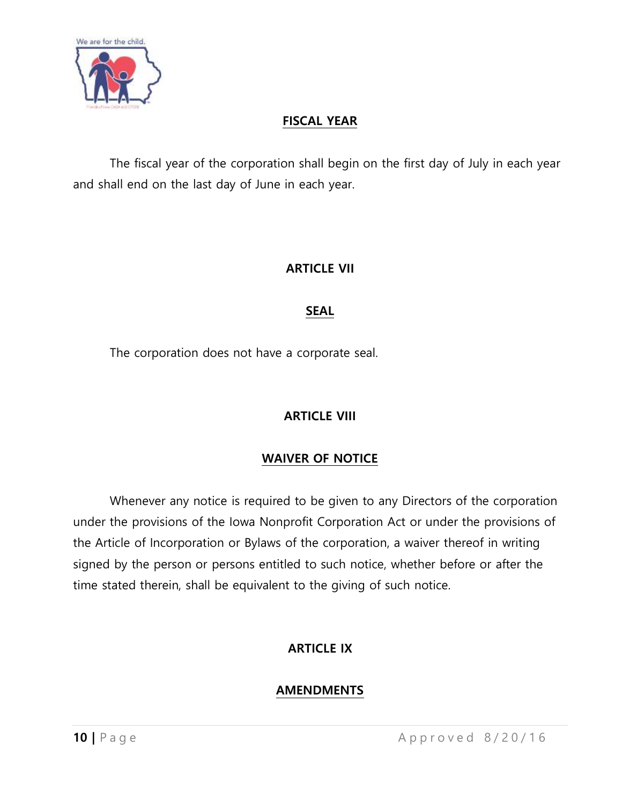

### **FISCAL YEAR**

The fiscal year of the corporation shall begin on the first day of July in each year and shall end on the last day of June in each year.

#### **ARTICLE VII**

#### **SEAL**

The corporation does not have a corporate seal.

### **ARTICLE VIII**

### **WAIVER OF NOTICE**

Whenever any notice is required to be given to any Directors of the corporation under the provisions of the Iowa Nonprofit Corporation Act or under the provisions of the Article of Incorporation or Bylaws of the corporation, a waiver thereof in writing signed by the person or persons entitled to such notice, whether before or after the time stated therein, shall be equivalent to the giving of such notice.

### **ARTICLE IX**

### **AMENDMENTS**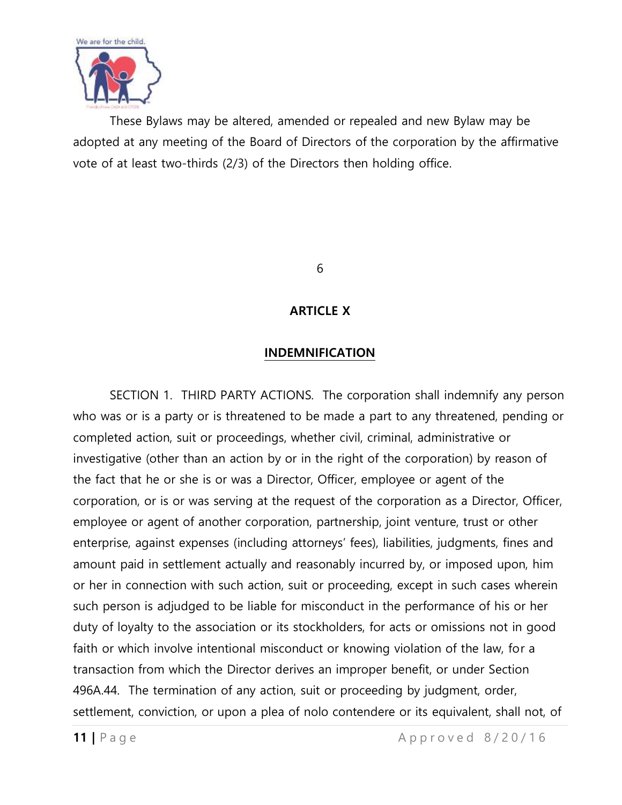

These Bylaws may be altered, amended or repealed and new Bylaw may be adopted at any meeting of the Board of Directors of the corporation by the affirmative vote of at least two-thirds (2/3) of the Directors then holding office.

6

### **ARTICLE X**

#### **INDEMNIFICATION**

SECTION 1. THIRD PARTY ACTIONS. The corporation shall indemnify any person who was or is a party or is threatened to be made a part to any threatened, pending or completed action, suit or proceedings, whether civil, criminal, administrative or investigative (other than an action by or in the right of the corporation) by reason of the fact that he or she is or was a Director, Officer, employee or agent of the corporation, or is or was serving at the request of the corporation as a Director, Officer, employee or agent of another corporation, partnership, joint venture, trust or other enterprise, against expenses (including attorneys' fees), liabilities, judgments, fines and amount paid in settlement actually and reasonably incurred by, or imposed upon, him or her in connection with such action, suit or proceeding, except in such cases wherein such person is adjudged to be liable for misconduct in the performance of his or her duty of loyalty to the association or its stockholders, for acts or omissions not in good faith or which involve intentional misconduct or knowing violation of the law, for a transaction from which the Director derives an improper benefit, or under Section 496A.44. The termination of any action, suit or proceeding by judgment, order, settlement, conviction, or upon a plea of nolo contendere or its equivalent, shall not, of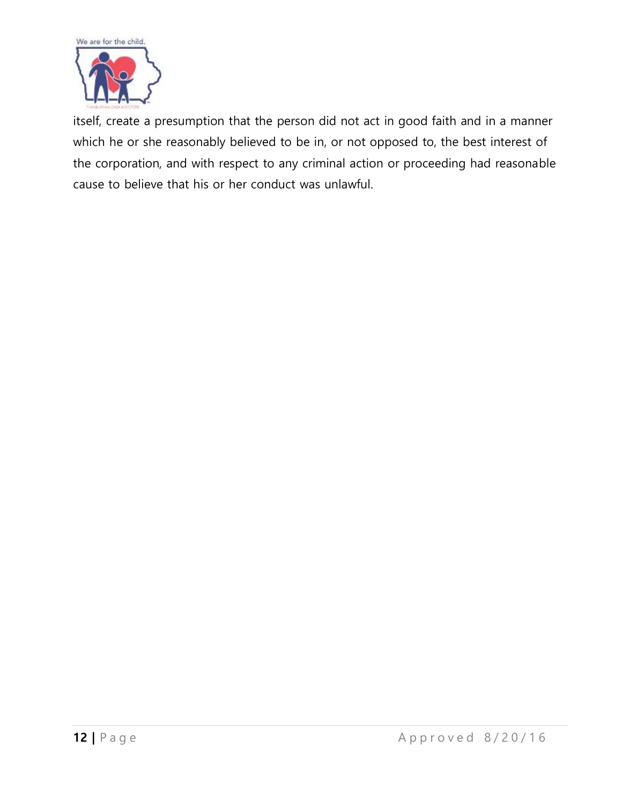

itself, create a presumption that the person did not act in good faith and in a manner which he or she reasonably believed to be in, or not opposed to, the best interest of the corporation, and with respect to any criminal action or proceeding had reasonable cause to believe that his or her conduct was unlawful.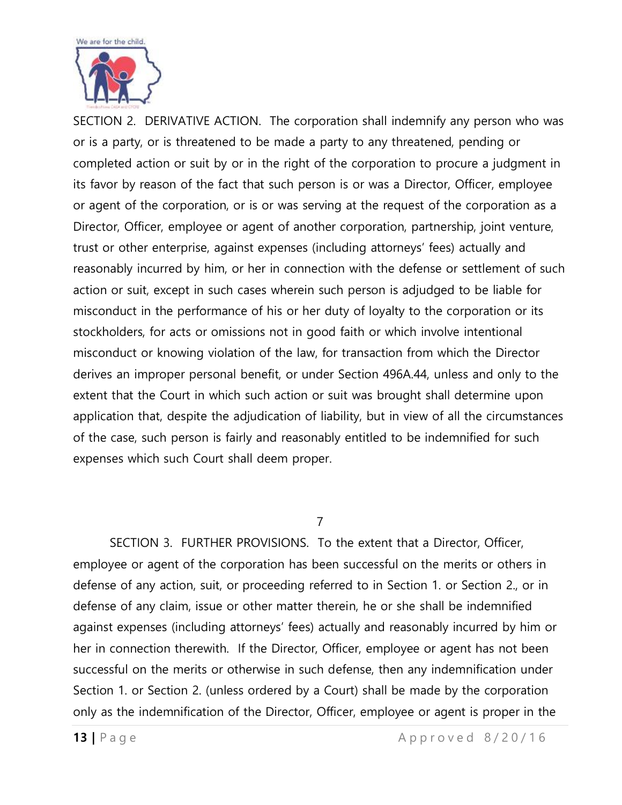

SECTION 2. DERIVATIVE ACTION. The corporation shall indemnify any person who was or is a party, or is threatened to be made a party to any threatened, pending or completed action or suit by or in the right of the corporation to procure a judgment in its favor by reason of the fact that such person is or was a Director, Officer, employee or agent of the corporation, or is or was serving at the request of the corporation as a Director, Officer, employee or agent of another corporation, partnership, joint venture, trust or other enterprise, against expenses (including attorneys' fees) actually and reasonably incurred by him, or her in connection with the defense or settlement of such action or suit, except in such cases wherein such person is adjudged to be liable for misconduct in the performance of his or her duty of loyalty to the corporation or its stockholders, for acts or omissions not in good faith or which involve intentional misconduct or knowing violation of the law, for transaction from which the Director derives an improper personal benefit, or under Section 496A.44, unless and only to the extent that the Court in which such action or suit was brought shall determine upon application that, despite the adjudication of liability, but in view of all the circumstances of the case, such person is fairly and reasonably entitled to be indemnified for such expenses which such Court shall deem proper.

#### 7

SECTION 3. FURTHER PROVISIONS. To the extent that a Director, Officer, employee or agent of the corporation has been successful on the merits or others in defense of any action, suit, or proceeding referred to in Section 1. or Section 2., or in defense of any claim, issue or other matter therein, he or she shall be indemnified against expenses (including attorneys' fees) actually and reasonably incurred by him or her in connection therewith. If the Director, Officer, employee or agent has not been successful on the merits or otherwise in such defense, then any indemnification under Section 1. or Section 2. (unless ordered by a Court) shall be made by the corporation only as the indemnification of the Director, Officer, employee or agent is proper in the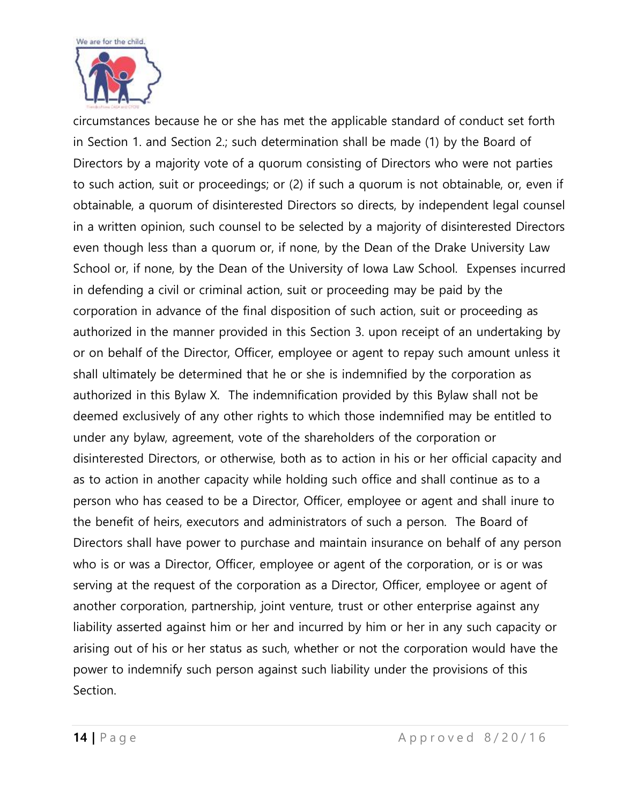

circumstances because he or she has met the applicable standard of conduct set forth in Section 1. and Section 2.; such determination shall be made (1) by the Board of Directors by a majority vote of a quorum consisting of Directors who were not parties to such action, suit or proceedings; or (2) if such a quorum is not obtainable, or, even if obtainable, a quorum of disinterested Directors so directs, by independent legal counsel in a written opinion, such counsel to be selected by a majority of disinterested Directors even though less than a quorum or, if none, by the Dean of the Drake University Law School or, if none, by the Dean of the University of Iowa Law School. Expenses incurred in defending a civil or criminal action, suit or proceeding may be paid by the corporation in advance of the final disposition of such action, suit or proceeding as authorized in the manner provided in this Section 3. upon receipt of an undertaking by or on behalf of the Director, Officer, employee or agent to repay such amount unless it shall ultimately be determined that he or she is indemnified by the corporation as authorized in this Bylaw X. The indemnification provided by this Bylaw shall not be deemed exclusively of any other rights to which those indemnified may be entitled to under any bylaw, agreement, vote of the shareholders of the corporation or disinterested Directors, or otherwise, both as to action in his or her official capacity and as to action in another capacity while holding such office and shall continue as to a person who has ceased to be a Director, Officer, employee or agent and shall inure to the benefit of heirs, executors and administrators of such a person. The Board of Directors shall have power to purchase and maintain insurance on behalf of any person who is or was a Director, Officer, employee or agent of the corporation, or is or was serving at the request of the corporation as a Director, Officer, employee or agent of another corporation, partnership, joint venture, trust or other enterprise against any liability asserted against him or her and incurred by him or her in any such capacity or arising out of his or her status as such, whether or not the corporation would have the power to indemnify such person against such liability under the provisions of this Section.